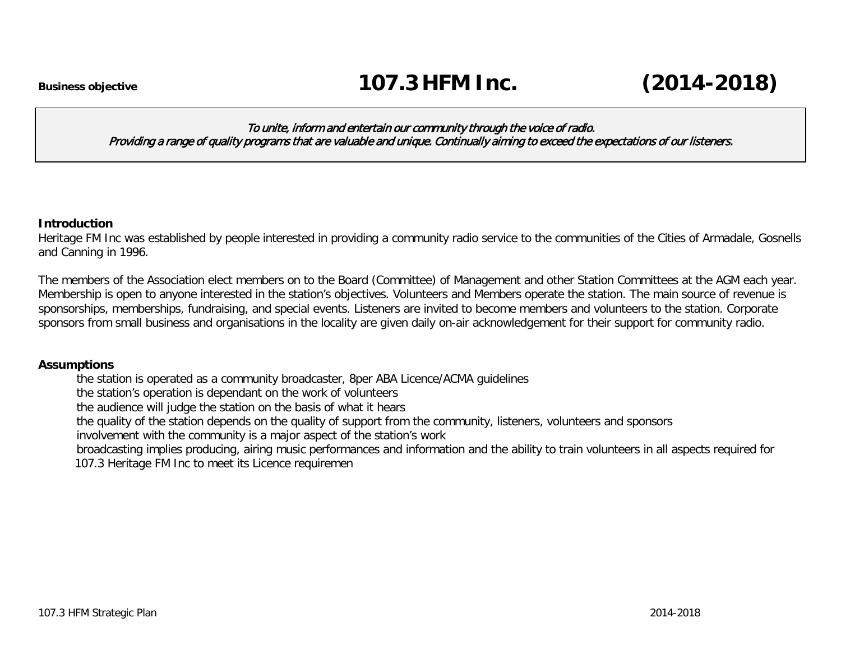#### To unite, inform and entertain our community through the voice of radio. Providing a range of quality programs that are valuable and unique. Continually aiming to exceed the expectations of our listeners.

#### **Introduction**

Heritage FM Inc was established by people interested in providing a community radio service to the communities of the Cities of Armadale, Gosnells and Canning in 1996.

The members of the Association elect members on to the Board (Committee) of Management and other Station Committees at the AGM each year. Membership is open to anyone interested in the station's objectives. Volunteers and Members operate the station. The main source of revenue is sponsorships, memberships, fundraising, and special events. Listeners are invited to become members and volunteers to the station. Corporate sponsors from small business and organisations in the locality are given daily on-air acknowledgement for their support for community radio.

### **Assumptions**

the station is operated as a community broadcaster, 8per ABA Licence/ACMA guidelines

the station's operation is dependant on the work of volunteers

the audience will judge the station on the basis of what it hears

the quality of the station depends on the quality of support from the community, listeners, volunteers and sponsors

involvement with the community is a major aspect of the station's work

broadcasting implies producing, airing music performances and information and the ability to train volunteers in all aspects required for 107.3 Heritage FM Inc to meet its Licence requiremen

107.3 HFM Strategic Plan 2014-2018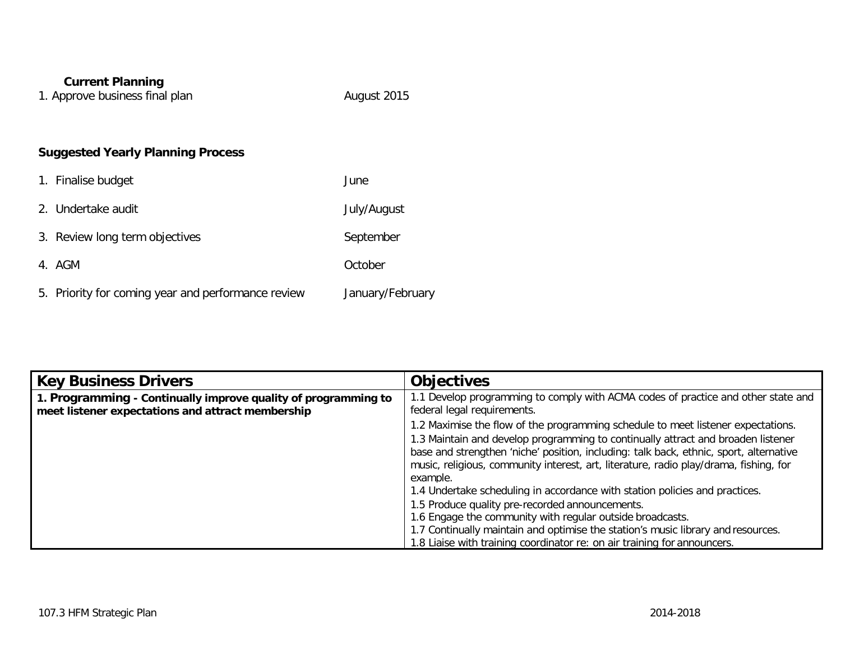## **Current Planning**

1. Approve business final plan August 2015

# **Suggested Yearly Planning Process**

| 1. Finalise budget                                 | June             |
|----------------------------------------------------|------------------|
| 2. Undertake audit                                 | July/August      |
| 3. Review long term objectives                     | September        |
| 4. AGM                                             | October          |
| 5. Priority for coming year and performance review | January/February |

| <b>Key Business Drivers</b>                                                                                         | <b>Objectives</b>                                                                                                                                                                                                                                                               |
|---------------------------------------------------------------------------------------------------------------------|---------------------------------------------------------------------------------------------------------------------------------------------------------------------------------------------------------------------------------------------------------------------------------|
| 1. Programming - Continually improve quality of programming to<br>meet listener expectations and attract membership | 1.1 Develop programming to comply with ACMA codes of practice and other state and<br>federal legal requirements.                                                                                                                                                                |
|                                                                                                                     | 1.2 Maximise the flow of the programming schedule to meet listener expectations.                                                                                                                                                                                                |
|                                                                                                                     | 1.3 Maintain and develop programming to continually attract and broaden listener<br>base and strengthen 'niche' position, including: talk back, ethnic, sport, alternative<br>music, religious, community interest, art, literature, radio play/drama, fishing, for<br>example. |
|                                                                                                                     | 1.4 Undertake scheduling in accordance with station policies and practices.                                                                                                                                                                                                     |
|                                                                                                                     | 1.5 Produce quality pre-recorded announcements.                                                                                                                                                                                                                                 |
|                                                                                                                     | 1.6 Engage the community with regular outside broadcasts.                                                                                                                                                                                                                       |
|                                                                                                                     | 1.7 Continually maintain and optimise the station's music library and resources.                                                                                                                                                                                                |
|                                                                                                                     | 1.8 Liaise with training coordinator re: on air training for announcers.                                                                                                                                                                                                        |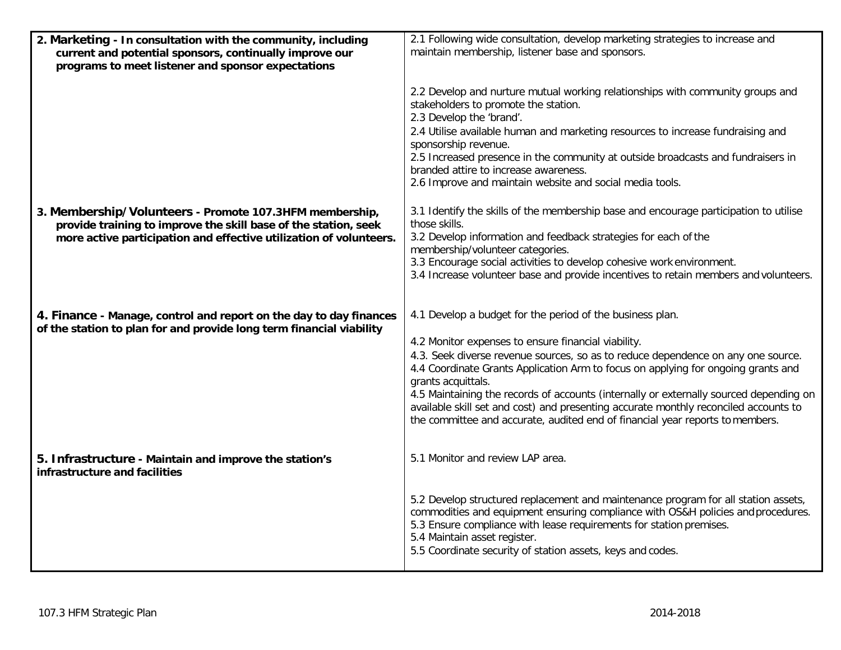| 2. Marketing - In consultation with the community, including<br>current and potential sponsors, continually improve our<br>programs to meet listener and sponsor expectations | 2.1 Following wide consultation, develop marketing strategies to increase and<br>maintain membership, listener base and sponsors.                                                                                                                                                                                                           |
|-------------------------------------------------------------------------------------------------------------------------------------------------------------------------------|---------------------------------------------------------------------------------------------------------------------------------------------------------------------------------------------------------------------------------------------------------------------------------------------------------------------------------------------|
|                                                                                                                                                                               | 2.2 Develop and nurture mutual working relationships with community groups and<br>stakeholders to promote the station.<br>2.3 Develop the 'brand'.                                                                                                                                                                                          |
|                                                                                                                                                                               | 2.4 Utilise available human and marketing resources to increase fundraising and<br>sponsorship revenue.                                                                                                                                                                                                                                     |
|                                                                                                                                                                               | 2.5 Increased presence in the community at outside broadcasts and fundraisers in<br>branded attire to increase awareness.<br>2.6 Improve and maintain website and social media tools.                                                                                                                                                       |
| 3. Membership/Volunteers - Promote 107.3HFM membership,<br>provide training to improve the skill base of the station, seek                                                    | 3.1 Identify the skills of the membership base and encourage participation to utilise<br>those skills.                                                                                                                                                                                                                                      |
| more active participation and effective utilization of volunteers.                                                                                                            | 3.2 Develop information and feedback strategies for each of the<br>membership/volunteer categories.                                                                                                                                                                                                                                         |
|                                                                                                                                                                               | 3.3 Encourage social activities to develop cohesive work environment.<br>3.4 Increase volunteer base and provide incentives to retain members and volunteers.                                                                                                                                                                               |
| 4. Finance - Manage, control and report on the day to day finances<br>of the station to plan for and provide long term financial viability                                    | 4.1 Develop a budget for the period of the business plan.                                                                                                                                                                                                                                                                                   |
|                                                                                                                                                                               | 4.2 Monitor expenses to ensure financial viability.<br>4.3. Seek diverse revenue sources, so as to reduce dependence on any one source.                                                                                                                                                                                                     |
|                                                                                                                                                                               | 4.4 Coordinate Grants Application Arm to focus on applying for ongoing grants and<br>grants acquittals.                                                                                                                                                                                                                                     |
|                                                                                                                                                                               | 4.5 Maintaining the records of accounts (internally or externally sourced depending on<br>available skill set and cost) and presenting accurate monthly reconciled accounts to<br>the committee and accurate, audited end of financial year reports to members.                                                                             |
| 5. Infrastructure - Maintain and improve the station's<br>infrastructure and facilities                                                                                       | 5.1 Monitor and review LAP area.                                                                                                                                                                                                                                                                                                            |
|                                                                                                                                                                               | 5.2 Develop structured replacement and maintenance program for all station assets,<br>commodities and equipment ensuring compliance with OS&H policies and procedures.<br>5.3 Ensure compliance with lease requirements for station premises.<br>5.4 Maintain asset register.<br>5.5 Coordinate security of station assets, keys and codes. |